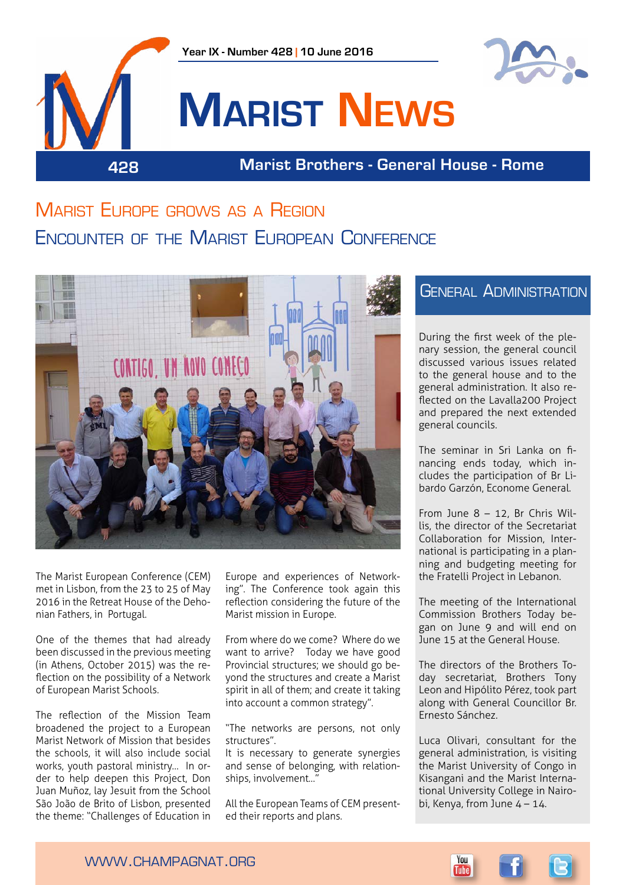



# **Marist News**

**428 Marist Brothers - General House - Rome**

# Marist Europe grows as a Region Encounter of the Marist European Conference



The Marist European Conference (CEM) met in Lisbon, from the 23 to 25 of May 2016 in the Retreat House of the Dehonian Fathers, in Portugal.

One of the themes that had already been discussed in the previous meeting (in Athens, October 2015) was the reflection on the possibility of a Network of European Marist Schools.

The reflection of the Mission Team broadened the project to a European Marist Network of Mission that besides the schools, it will also include social works, youth pastoral ministry… In order to help deepen this Project, Don Juan Muñoz, lay Jesuit from the School São João de Brito of Lisbon, presented the theme: "Challenges of Education in

Europe and experiences of Networking". The Conference took again this reflection considering the future of the Marist mission in Europe.

From where do we come? Where do we want to arrive? Today we have good Provincial structures; we should go beyond the structures and create a Marist spirit in all of them; and create it taking into account a common strategy".

"The networks are persons, not only structures".

It is necessary to generate synergies and sense of belonging, with relationships, involvement…"

All the European Teams of CEM presented their reports and plans.

# General Administration

During the first week of the plenary session, the general council discussed various issues related to the general house and to the general administration. It also reflected on the Lavalla200 Project and prepared the next extended general councils.

The seminar in Sri Lanka on financing ends today, which includes the participation of Br Libardo Garzón, Econome General.

From June 8 – 12, Br Chris Willis, the director of the Secretariat Collaboration for Mission, International is participating in a planning and budgeting meeting for the Fratelli Project in Lebanon.

The meeting of the International Commission Brothers Today began on June 9 and will end on June 15 at the General House.

The directors of the Brothers Today secretariat, Brothers Tony Leon and Hipólito Pérez, took part along with General Councillor Br. Ernesto Sánchez.

Luca Olivari, consultant for the general administration, is visiting the Marist University of Congo in Kisangani and the Marist International University College in Nairobi, Kenya, from June  $4 - 14$ .

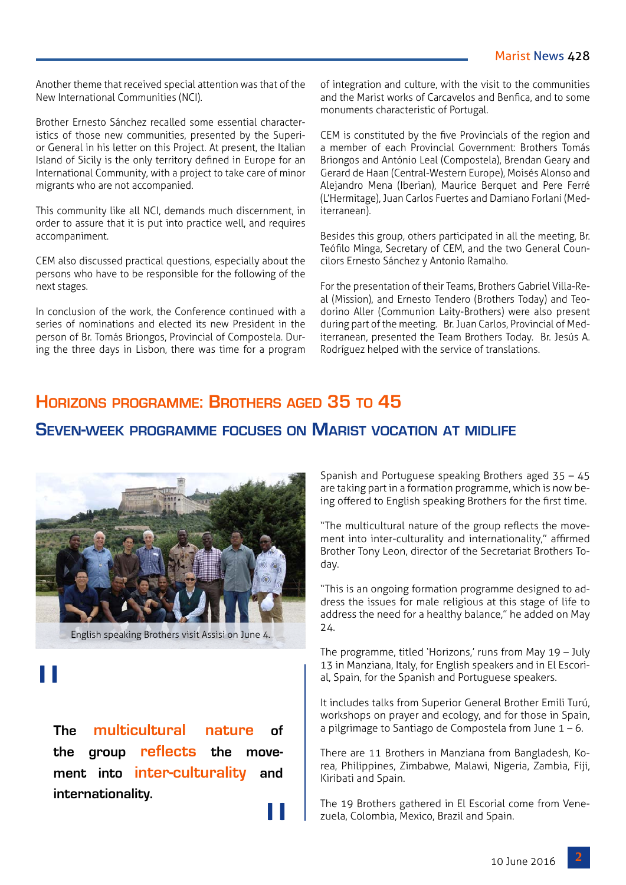Another theme that received special attention was that of the New International Communities (NCI).

Brother Ernesto Sánchez recalled some essential characteristics of those new communities, presented by the Superior General in his letter on this Project. At present, the Italian Island of Sicily is the only territory defined in Europe for an International Community, with a project to take care of minor migrants who are not accompanied.

This community like all NCI, demands much discernment, in order to assure that it is put into practice well, and requires accompaniment.

CEM also discussed practical questions, especially about the persons who have to be responsible for the following of the next stages.

In conclusion of the work, the Conference continued with a series of nominations and elected its new President in the person of Br. Tomás Briongos, Provincial of Compostela. During the three days in Lisbon, there was time for a program

of integration and culture, with the visit to the communities and the Marist works of Carcavelos and Benfica, and to some monuments characteristic of Portugal.

CEM is constituted by the five Provincials of the region and a member of each Provincial Government: Brothers Tomás Briongos and António Leal (Compostela), Brendan Geary and Gerard de Haan (Central-Western Europe), Moisés Alonso and Alejandro Mena (Iberian), Maurice Berquet and Pere Ferré (L'Hermitage), Juan Carlos Fuertes and Damiano Forlani (Mediterranean).

Besides this group, others participated in all the meeting, Br. Teófilo Minga, Secretary of CEM, and the two General Councilors Ernesto Sánchez y Antonio Ramalho.

For the presentation of their Teams, Brothers Gabriel Villa-Real (Mission), and Ernesto Tendero (Brothers Today) and Teodorino Aller (Communion Laity-Brothers) were also present during part of the meeting. Br. Juan Carlos, Provincial of Mediterranean, presented the Team Brothers Today. Br. Jesús A. Rodríguez helped with the service of translations.

# **Horizons programme: Brothers aged 35 to 45**

# **Seven-week programme focuses on Marist vocation at midlife**



English speaking Brothers visit Assisi on June 4.

# "

**The multicultural nature of the group reflects the movement into inter-culturality and internationality.**

"

Spanish and Portuguese speaking Brothers aged 35 – 45 are taking part in a formation programme, which is now being offered to English speaking Brothers for the first time.

"The multicultural nature of the group reflects the movement into inter-culturality and internationality," affirmed Brother Tony Leon, director of the Secretariat Brothers Today.

"This is an ongoing formation programme designed to address the issues for male religious at this stage of life to address the need for a healthy balance," he added on May 24.

The programme, titled 'Horizons,' runs from May 19 – July 13 in Manziana, Italy, for English speakers and in El Escorial, Spain, for the Spanish and Portuguese speakers.

It includes talks from Superior General Brother Emili Turú, workshops on prayer and ecology, and for those in Spain, a pilgrimage to Santiago de Compostela from June  $1 - 6$ .

There are 11 Brothers in Manziana from Bangladesh, Korea, Philippines, Zimbabwe, Malawi, Nigeria, Zambia, Fiji, Kiribati and Spain.

The 19 Brothers gathered in El Escorial come from Venezuela, Colombia, Mexico, Brazil and Spain.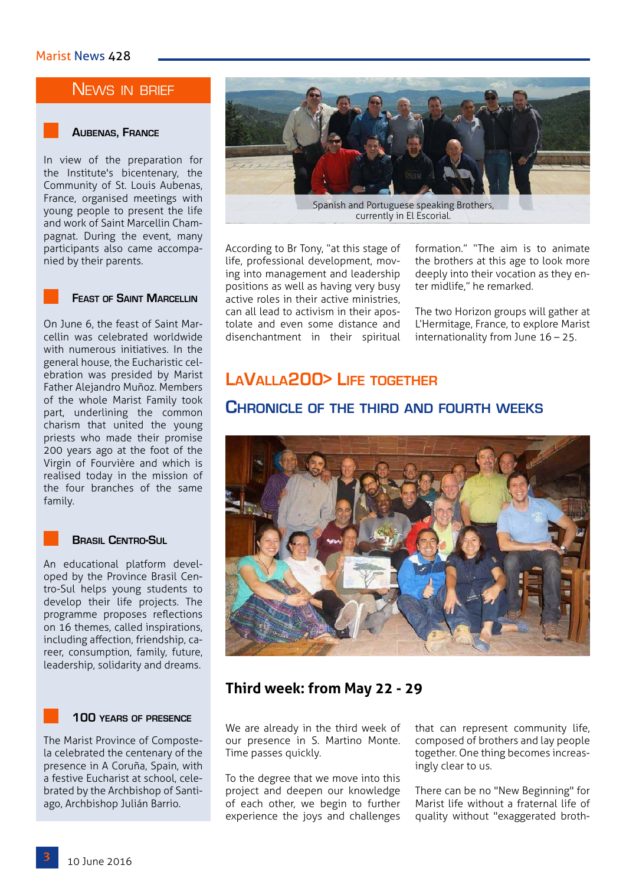## NEWS IN BRIEF

## **Aubenas, France**

In view of the preparation for the Institute's bicentenary, the Community of St. Louis Aubenas, France, organised meetings with young people to present the life and work of Saint Marcellin Champagnat. During the event, many participants also came accompanied by their parents.



## **Feast of Saint Marcellin**

On June 6, the feast of Saint Marcellin was celebrated worldwide with numerous initiatives. In the general house, the Eucharistic celebration was presided by Marist Father Alejandro Muñoz. Members of the whole Marist Family took part, underlining the common charism that united the young priests who made their promise 200 years ago at the foot of the Virgin of Fourvière and which is realised today in the mission of the four branches of the same family.

## **Brasil Centro-Sul**

An educational platform developed by the Province Brasil Centro-Sul helps young students to develop their life projects. The programme proposes reflections on 16 themes, called inspirations, including affection, friendship, career, consumption, family, future, leadership, solidarity and dreams.

## **100 years of presence**

The Marist Province of Compostela celebrated the centenary of the presence in A Coruña, Spain, with a festive Eucharist at school, celebrated by the Archbishop of Santiago, Archbishop Julián Barrio.



According to Br Tony, "at this stage of life, professional development, moving into management and leadership positions as well as having very busy active roles in their active ministries, can all lead to activism in their apostolate and even some distance and disenchantment in their spiritual formation." "The aim is to animate the brothers at this age to look more deeply into their vocation as they enter midlife," he remarked.

The two Horizon groups will gather at L'Hermitage, France, to explore Marist internationality from June 16 – 25.

# **LaValla200> Life together**

## **Chronicle of the third and fourth weeks**



# **Third week: from May 22 - 29**

We are already in the third week of our presence in S. Martino Monte. Time passes quickly.

To the degree that we move into this project and deepen our knowledge of each other, we begin to further experience the joys and challenges

that can represent community life, composed of brothers and lay people together. One thing becomes increasingly clear to us.

There can be no "New Beginning" for Marist life without a fraternal life of quality without "exaggerated broth-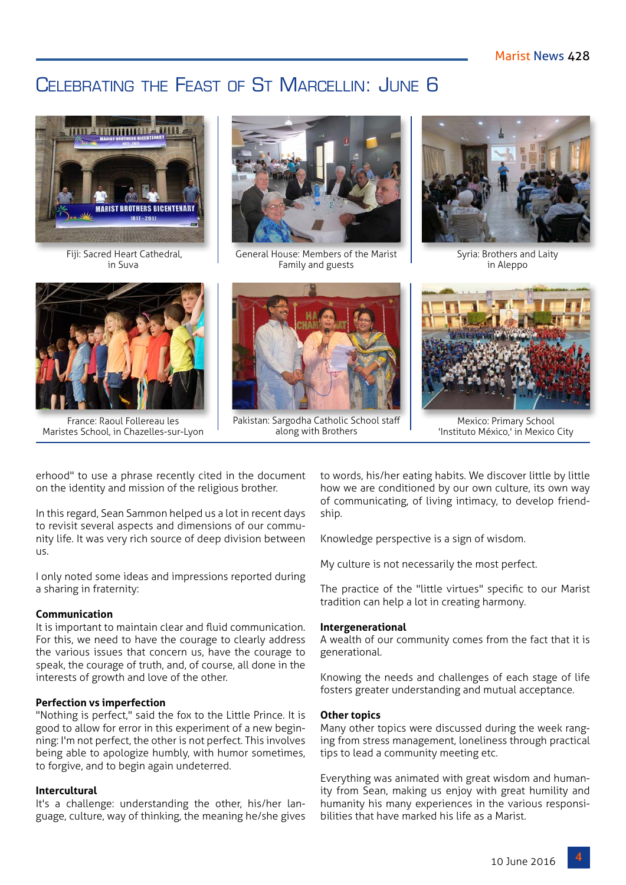# CELEBRATING THE FEAST OF ST MARCELLIN: JUNE 6



 Fiji: Sacred Heart Cathedral, in Suva



France: Raoul Follereau les Maristes School, in Chazelles-sur-Lyon



General House: Members of the Marist Family and guests



Pakistan: Sargodha Catholic School staff along with Brothers



Syria: Brothers and Laity in Aleppo



Mexico: Primary School 'Instituto México,' in Mexico City

erhood" to use a phrase recently cited in the document on the identity and mission of the religious brother.

In this regard, Sean Sammon helped us a lot in recent days to revisit several aspects and dimensions of our community life. It was very rich source of deep division between us.

I only noted some ideas and impressions reported during a sharing in fraternity:

## **Communication**

It is important to maintain clear and fluid communication. For this, we need to have the courage to clearly address the various issues that concern us, have the courage to speak, the courage of truth, and, of course, all done in the interests of growth and love of the other.

## **Perfection vs imperfection**

"Nothing is perfect," said the fox to the Little Prince. It is good to allow for error in this experiment of a new beginning: I'm not perfect, the other is not perfect. This involves being able to apologize humbly, with humor sometimes, to forgive, and to begin again undeterred.

## **Intercultural**

It's a challenge: understanding the other, his/her language, culture, way of thinking, the meaning he/she gives to words, his/her eating habits. We discover little by little how we are conditioned by our own culture, its own way of communicating, of living intimacy, to develop friendship.

Knowledge perspective is a sign of wisdom.

My culture is not necessarily the most perfect.

The practice of the "little virtues" specific to our Marist tradition can help a lot in creating harmony.

## **Intergenerational**

A wealth of our community comes from the fact that it is generational.

Knowing the needs and challenges of each stage of life fosters greater understanding and mutual acceptance.

## **Other topics**

Many other topics were discussed during the week ranging from stress management, loneliness through practical tips to lead a community meeting etc.

Everything was animated with great wisdom and humanity from Sean, making us enjoy with great humility and humanity his many experiences in the various responsibilities that have marked his life as a Marist.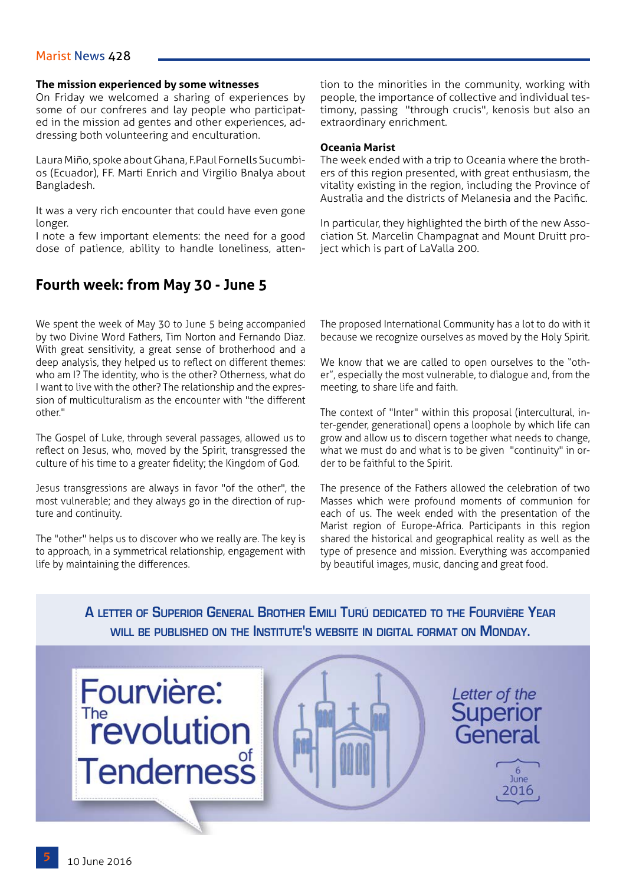## Marist News 428

## **The mission experienced by some witnesses**

On Friday we welcomed a sharing of experiences by some of our confreres and lay people who participated in the mission ad gentes and other experiences, addressing both volunteering and enculturation.

Laura Miño, spoke about Ghana, F.Paul Fornells Sucumbios (Ecuador), FF. Marti Enrich and Virgilio Bnalya about Bangladesh.

It was a very rich encounter that could have even gone longer.

I note a few important elements: the need for a good dose of patience, ability to handle loneliness, atten-

## **Fourth week: from May 30 - June 5**

We spent the week of May 30 to June 5 being accompanied by two Divine Word Fathers, Tim Norton and Fernando Diaz. With great sensitivity, a great sense of brotherhood and a deep analysis, they helped us to reflect on different themes: who am I? The identity, who is the other? Otherness, what do I want to live with the other? The relationship and the expression of multiculturalism as the encounter with "the different other."

The Gospel of Luke, through several passages, allowed us to reflect on Jesus, who, moved by the Spirit, transgressed the culture of his time to a greater fidelity; the Kingdom of God.

Jesus transgressions are always in favor "of the other", the most vulnerable; and they always go in the direction of rupture and continuity.

The "other" helps us to discover who we really are. The key is to approach, in a symmetrical relationship, engagement with life by maintaining the differences.

tion to the minorities in the community, working with people, the importance of collective and individual testimony, passing "through crucis", kenosis but also an extraordinary enrichment.

## **Oceania Marist**

The week ended with a trip to Oceania where the brothers of this region presented, with great enthusiasm, the vitality existing in the region, including the Province of Australia and the districts of Melanesia and the Pacific.

In particular, they highlighted the birth of the new Association St. Marcelin Champagnat and Mount Druitt project which is part of LaValla 200.

The proposed International Community has a lot to do with it because we recognize ourselves as moved by the Holy Spirit.

We know that we are called to open ourselves to the "other", especially the most vulnerable, to dialogue and, from the meeting, to share life and faith.

The context of "Inter" within this proposal (intercultural, inter-gender, generational) opens a loophole by which life can grow and allow us to discern together what needs to change, what we must do and what is to be given "continuity" in order to be faithful to the Spirit.

The presence of the Fathers allowed the celebration of two Masses which were profound moments of communion for each of us. The week ended with the presentation of the Marist region of Europe-Africa. Participants in this region shared the historical and geographical reality as well as the type of presence and mission. Everything was accompanied by beautiful images, music, dancing and great food.

**A letter of Superior General Brother Emili Turú dedicated to the Fourvière Year will be published on the Institute's website in digital format on Monday.** 







Letter of the